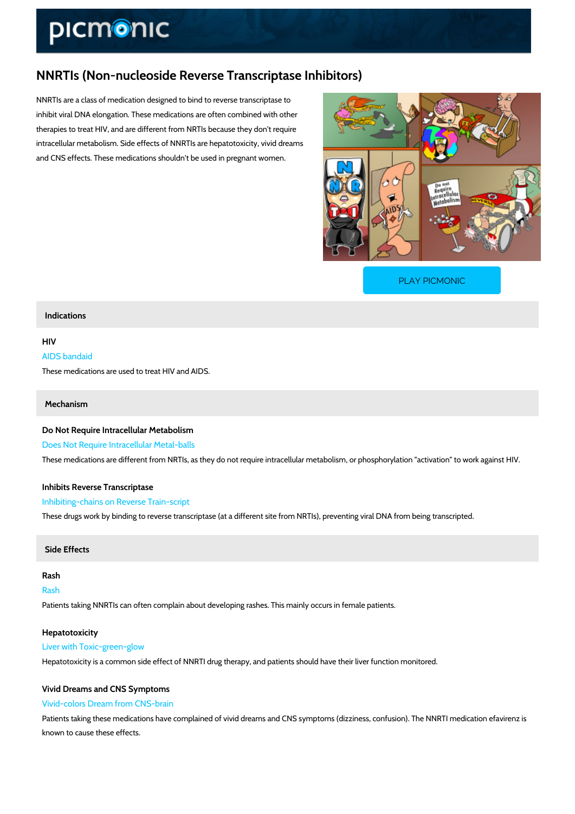# NNRTIs (Non-nucleoside Reverse Transcriptase Inhibitors)

NNRTIs are a class of medication designed to bind to reverse transcriptase to inhibit viral DNA elongation. These medications are often combined with other therapies to treat HIV, and are different from NRTIs because they don't require intracellular metabolism. Side effects of NNRTIs are hepatotoxicity, vivid dreams and CNS effects. These medications shouldn't be used in pregnant women.

[PLAY PICMONIC](https://www.picmonic.com/learn/nnrtis-non-nucleoside-reverse-transcriptase-inhibitors_1842?utm_source=downloadable_content&utm_medium=distributedcontent&utm_campaign=pathways_pdf&utm_content=NNRTIs (Non-nucleoside Reverse Transcriptase Inhibitors)&utm_ad_group=leads&utm_market=all)

#### Indications

## HIV

AIDS bandaid

These medications are used to treat HIV and AIDS.

#### Mechanism

Do Not Require Intracellular Metabolism Does Not Require Intracellular Metal-balls These medications are different from NRTIs, as they do not require intracellular metabolism,

## Inhibits Reverse Transcriptase Inhibiting-chains on Reverse Train-script

These drugs work by binding to reverse transcriptase (at a different site from NRTIs), prevent

#### Side Effects

Rash Rash Patients taking NNRTIs can often complain about developing rashes. This mainly occurs in fer

Hepatotoxicity Liver with Toxic-green-glow Hepatotoxicity is a common side effect of NNRTI drug therapy, and patients should have their

## Vivid Dreams and CNS Symptoms Vivid-colors Dream from CNS-brain

Patients taking these medications have complained of vivid dreams and CNS symptoms (dizzin known to cause these effects.